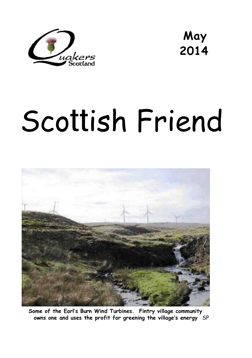

**May 2014** 

# Scottish Friend



**Some of the Earl's Burn Wind Turbines. Fintry village community owns one and uses the profit for greening the village's energy** SP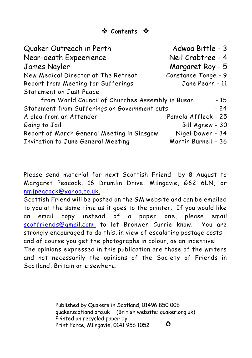| Quaker Outreach in Perth                         | Adwoa Bittle - 3    |
|--------------------------------------------------|---------------------|
| Near-death Expeerience                           | Neil Crabtree - 4   |
| <b>James Nayler</b>                              | Margaret Roy - 5    |
| New Medical Director at The Retreat              | Constance Tonge - 9 |
| Report from Meeting for Sufferings               | Jane Pearn - 11     |
| <b>Statement on Just Peace</b>                   |                     |
| from World Council of Churches Assembly in Busan | $-15$               |
| Statement from Sufferings on Government cuts     | $-24$               |
| A plea from an Attender                          | Pamela Affleck - 25 |
| Going to Jail                                    | Bill Agnew - 30     |
| Report of March General Meeting in Glasgow       | Nigel Dower - 34    |
| Invitation to June General Meeting               | Martin Burnell - 36 |

Please send material for next *Scottish Friend* by 8 August to Margaret Peacock, 16 Drumlin Drive, Milngavie, G62 6LN, or [nmjpeacock@yahoo.co.uk.](mailto:nmjpeacock@yahoo.co.uk.)

*Scottish Friend* will be posted on the GM website and can be emailed to you at the same time as it goes to the printer. If you would like an email copy instead of a paper one, please email [scotfriends@gmail.com,](mailto:scotfriends@aol.com,) to let Bronwen Currie know. You are strongly encouraged to do this, in view of escalating postage costs and of course you get the photographs in colour, as an incentive! The opinions expressed in this publication are those of the writers and not necessarily the opinions of the Society of Friends in Scotland, Britain or elsewhere.

> Published by Quakers in Scotland, 01496 850 006 quakerscotland.org.uk (British website: quaker.org.uk) Printed on recycled paper by  $\bullet$ Print Force, Milngavie, 0141 956 1052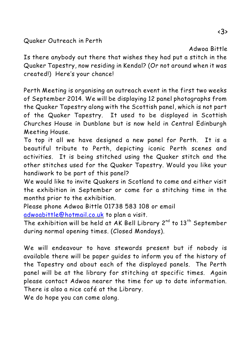Quaker Outreach in Perth

Adwoa Bittle

Is there anybody out there that wishes they had put a stitch in the Quaker Tapestry, now residing in Kendal? (Or not around when it was created!) Here's your chance!

Perth Meeting is organising an outreach event in the first two weeks of September 2014. We will be displaying 12 panel photographs from the Quaker Tapestry along with the Scottish panel, which is not part of the Quaker Tapestry. It used to be displayed in Scottish Churches House in Dunblane but is now held in Central Edinburgh Meeting House.

To top it all we have designed a new panel for Perth. It is a beautiful tribute to Perth, depicting iconic Perth scenes and activities. It is being stitched using the Quaker stitch and the other stitches used for the Quaker Tapestry. Would you like your handiwork to be part of this panel?

We would like to invite Quakers in Scotland to come and either visit the exhibition in September or come for a stitching time in the months prior to the exhibition.

Please phone Adwoa Bittle 01738 583 108 or email [adwoabittle@hotmail.co.uk](mailto:adwoabittle@hotmail.co.uk) to plan a visit.

The exhibition will be held at AK Bell Library  $2^{nd}$  to  $13^{th}$  September during normal opening times. (Closed Mondays).

We will endeavour to have stewards present but if nobody is available there will be paper guides to inform you of the history of the Tapestry and about each of the displayed panels. The Perth panel will be at the library for stitching at specific times. Again please contact Adwoa nearer the time for up to date information. There is also a nice café at the Library.

We do hope you can come along.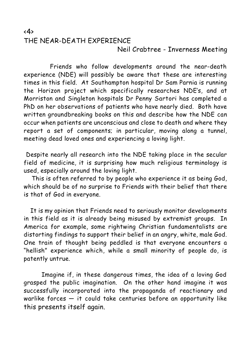#### $\langle 4 \rangle$ THE NEAR-DEATH EXPERIENCE Neil Crabtree - Inverness Meeting

 Friends who follow developments around the near-death experience (NDE) will possibly be aware that these are interesting times in this field. At Southampton hospital Dr Sam Parnia is running the Horizon project which specifically researches NDE's, and at Morriston and Singleton hospitals Dr Penny Sartori has completed a PhD on her observations of patients who have nearly died. Both have written groundbreaking books on this and describe how the NDE can occur when patients are unconscious and close to death and where they report a set of components; in particular, moving along a tunnel, meeting dead loved ones and experiencing a loving light.

 Despite nearly all research into the NDE taking place in the secular field of medicine, it is surprising how much religious terminology is used, especially around the loving light.

 This is often referred to by people who experience it as being God, which should be of no surprise to Friends with their belief that there is that of God in everyone.

 It is my opinion that Friends need to seriously monitor developments in this field as it is already being misused by extremist groups. In America for example, some rightwing Christian fundamentalists are distorting findings to support their belief in an angry, white, male God. One train of thought being peddled is that everyone encounters a "hellish" experience which, while a small minority of people do, is patently untrue.

 Imagine if, in these dangerous times, the idea of a loving God grasped the public imagination. On the other hand imagine it was successfully incorporated into the propaganda of reactionary and warlike forces  $-$  it could take centuries before an opportunity like this presents itself again.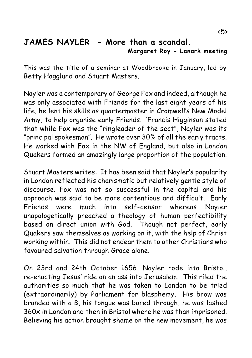#### **JAMES NAYLER - More than a scandal. Margaret Roy - Lanark meeting**

This was the title of a seminar at Woodbrooke in January, led by Betty Hagglund and Stuart Masters.

Nayler was a contemporary of George Fox and indeed, although he was only associated with Friends for the last eight years of his life, he lent his skills as quartermaster in Cromwell's New Model Army, to help organise early Friends. 'Francis Higginson stated that while Fox was the "ringleader of the sect", Nayler was its "principal spokesman". He wrote over 30% of all the early tracts. He worked with Fox in the NW of England, but also in London Quakers formed an amazingly large proportion of the population.

Stuart Masters writes: It has been said that Nayler's popularity in London reflected his charismatic but relatively gentle style of discourse. Fox was not so successful in the capital and his approach was said to be more contentious and difficult. Early Friends were much into self-censor whereas Nayler unapologetically preached a theology of human perfectibility based on direct union with God. Though not perfect, early Quakers saw themselves as working on it, with the help of Christ working within. This did not endear them to other Christians who favoured salvation through Grace alone.

On 23rd and 24th October 1656, Nayler rode into Bristol, re-enacting Jesus' ride on an ass into Jerusalem. This riled the authorities so much that he was taken to London to be tried (extraordinarily) by Parliament for blasphemy. His brow was branded with a B, his tongue was bored through, he was lashed 360x in London and then in Bristol where he was than imprisoned. Believing his action brought shame on the new movement, he was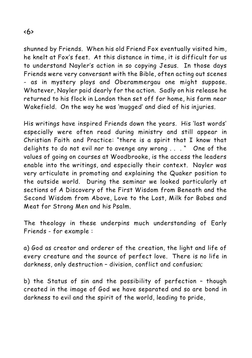shunned by Friends. When his old Friend Fox eventually visited him, he knelt at Fox's feet. At this distance in time, it is difficult for us to understand Nayler's action in so copying Jesus. In those days Friends were very conversant with the Bible, often acting out scenes - as in mystery plays and Oberammergau one might suppose. Whatever, Nayler paid dearly for the action. Sadly on his release he returned to his flock in London then set off for home, his farm near Wakefield. On the way he was 'mugged' and died of his injuries.

His writings have inspired Friends down the years. His 'last words' especially were often read during ministry and still appear in Christian Faith and Practice: "there is a spirit that I know that delights to do not evil nor to avenge any wrong . . . " One of the values of going on courses at Woodbrooke, is the access the leaders enable into the writings, and especially their context. Nayler was very articulate in promoting and explaining the Quaker position to the outside world. During the seminar we looked particularly at sections of *A Discovery of the First Wisdom from Beneath and the Second Wisdom from Above, Love to the Lost, Milk for Babes and Meat for Strong Men and his Psalm*.

The theology in these underpins much understanding of Early Friends - for example :

a) God as creator and orderer of the creation, the light and life of every creature and the source of perfect love. There is no life in darkness, only destruction – division, conflict and confusion;

b) the Status of sin and the possibility of perfection – though created in the image of God we have separated and so are bond in darkness to evil and the spirit of the world, leading to pride,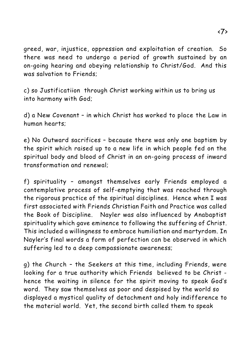greed, war, injustice, oppression and exploitation of creation. So there was need to undergo a period of growth sustained by an on-going hearing and obeying relationship to Christ/God. And this was salvation to Friends;

c) so Justificatiion through Christ working within us to bring us into harmony with God;

d) a New Covenant – in which Christ has worked to place the Law in human hearts;

e) No Outward sacrifices – because there was only one baptism by the spirit which raised up to a new life in which people fed on the spiritual body and blood of Christ in an on-going process of inward transformation and renewal;

f) spirituality – amongst themselves early Friends employed a contemplative process of self-emptying that was reached through the rigorous practice of the spiritual disciplines. Hence when I was first associated with Friends Christian Faith and Practice was called the Book of Discipline. Nayler was also influenced by Anabaptist spirituality which gave eminence to following the suffering of Christ. This included a willingness to embrace humiliation and martyrdom. In Nayler's final words a form of perfection can be observed in which suffering led to a deep compassionate awareness;

g) the Church – the Seekers at this time, including Friends, were looking for a true authority which Friends believed to be Christ hence the waiting in silence for the spirit moving to speak God's word. They saw themselves as poor and despised by the world so displayed a mystical quality of detachment and holy indifference to the material world. Yet, the second birth called them to speak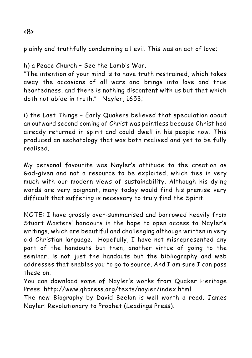plainly and truthfully condemning all evil. This was an act of love;

#### h) a Peace Church – See the Lamb's War.

"The intention of your mind is to have truth restrained, which takes away the occasions of all wars and brings into love and true heartedness, and there is nothing discontent with us but that which doth not abide in truth." Nayler, 1653;

i) the Last Things – Early Quakers believed that speculation about an outward second coming of Christ was pointless because Christ had already returned in spirit and could dwell in his people now. This produced an eschatology that was both realised and yet to be fully realised.

My personal favourite was Nayler's attitude to the creation as God-given and not a resource to be exploited, which ties in very much with our modern views of sustainability. Although his dying words are very poignant, many today would find his premise very difficult that suffering is necessary to truly find the Spirit.

NOTE: I have grossly over-summarised and borrowed heavily from Stuart Masters' handouts in the hope to open access to Nayler's writings, which are beautiful and challenging although written in very old Christian language. Hopefully, I have not misrepresented any part of the handouts but then, another virtue of going to the seminar, is not just the handouts but the bibliography and web addresses that enables you to go to source. And I am sure I can pass these on.

You can download some of Nayler's works from Quaker Heritage Press http://www.qhpress.org/texts/nayler/index.html

The new Biography by David Beelon is well worth a read. James Nayler: Revolutionary to Prophet (Leadings Press).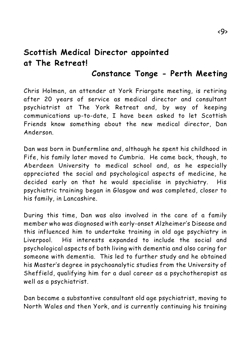# **Scottish Medical Director appointed at The Retreat!**

# **Constance Tonge - Perth Meeting**

Chris Holman, an attender at York Friargate meeting, is retiring after 20 years of service as medical director and consultant psychiatrist at The York Retreat and, by way of keeping communications up-to-date, I have been asked to let Scottish Friends know something about the new medical director, Dan Anderson.

Dan was born in Dunfermline and, although he spent his childhood in Fife, his family later moved to Cumbria. He came back, though, to Aberdeen University to medical school and, as he especially appreciated the social and psychological aspects of medicine, he decided early on that he would specialise in psychiatry. His psychiatric training began in Glasgow and was completed, closer to his family, in Lancashire.

During this time, Dan was also involved in the care of a family member who was diagnosed with early-onset Alzheimer's Disease and this influenced him to undertake training in old age psychiatry in Liverpool. His interests expanded to include the social and psychological aspects of both living with dementia and also caring for someone with dementia. This led to further study and he obtained his Master's degree in psychoanalytic studies from the University of Sheffield, qualifying him for a dual career as a psychotherapist as well as a psychiatrist.

Dan became a substantive consultant old age psychiatrist, moving to North Wales and then York, and is currently continuing his training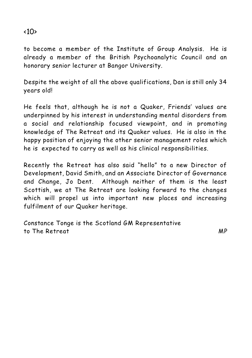#### to become a member of the Institute of Group Analysis. He is already a member of the British Psychoanalytic Council and an honorary senior lecturer at Bangor University.

Despite the weight of all the above qualifications, Dan is still only 34 years old!

He feels that, although he is not a Quaker, Friends' values are underpinned by his interest in understanding mental disorders from a social and relationship focused viewpoint, and in promoting knowledge of The Retreat and its Quaker values. He is also in the happy position of enjoying the other senior management roles which he is expected to carry as well as his clinical responsibilities.

Recently the Retreat has also said "hello" to a new Director of Development, David Smith, and an Associate Director of Governance and Change, Jo Dent. Although neither of them is the least Scottish, we at The Retreat are looking forward to the changes which will propel us into important new places and increasing fulfilment of our Quaker heritage.

Constance Tonge is the Scotland GM Representative to The Retreat MP

### $<10>$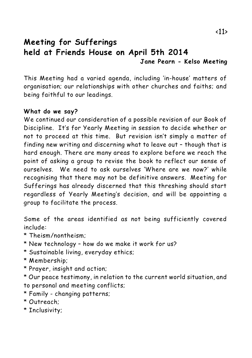# **Meeting for Sufferings held at Friends House on April 5th 2014 Jane Pearn - Kelso Meeting**

This Meeting had a varied agenda, including 'in-house' matters of organisation; our relationships with other churches and faiths; and being faithful to our leadings.

#### **What do we say?**

We continued our consideration of a possible revision of our Book of Discipline. It's for Yearly Meeting in session to decide whether or not to proceed at this time. But revision isn't simply a matter of finding new writing and discerning what to leave out – though that is hard enough. There are many areas to explore before we reach the point of asking a group to revise the book to reflect our sense of ourselves. We need to ask ourselves 'Where are we now?' while recognising that there may not be definitive answers. Meeting for Sufferings has already discerned that this threshing should start regardless of Yearly Meeting's decision, and will be appointing a group to facilitate the process.

Some of the areas identified as not being sufficiently covered include:

- \* Theism/nontheism;
- \* New technology how do we make it work for us?
- \* Sustainable living, everyday ethics;
- \* Membership;
- \* Prayer, insight and action;

\* Our peace testimony, in relation to the current world situation, and to personal and meeting conflicts;

- \* Family changing patterns;
- \* Outreach;
- \* Inclusivity;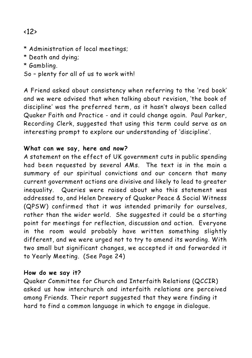# <12>

- \* Administration of local meetings;
- \* Death and dying;
- \* Gambling.
- So plenty for all of us to work with!

A Friend asked about consistency when referring to the 'red book' and we were advised that when talking about revision, 'the book of discipline' was the preferred term, as it hasn't always been called Quaker Faith and Practice - and it could change again. Paul Parker, Recording Clerk, suggested that using this term could serve as an interesting prompt to explore our understanding of 'discipline'.

#### **What can we say, here and now?**

A statement on the effect of UK government cuts in public spending had been requested by several AMs. The text is in the main a summary of our spiritual convictions and our concern that many current government actions are divisive and likely to lead to greater inequality. Queries were raised about who this statement was addressed to, and Helen Drewery of Quaker Peace & Social Witness (QPSW) confirmed that it was intended primarily for ourselves, rather than the wider world. She suggested it could be a starting point for meetings for reflection, discussion and action. Everyone in the room would probably have written something slightly different, and we were urged not to try to amend its wording. With two small but significant changes, we accepted it and forwarded it to Yearly Meeting. (See Page 24)

#### **How do we say it?**

Quaker Committee for Church and Interfaith Relations (QCCIR) asked us how interchurch and interfaith relations are perceived among Friends. Their report suggested that they were finding it hard to find a common language in which to engage in dialogue.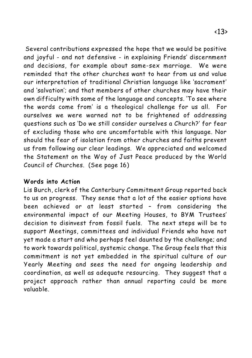Several contributions expressed the hope that we would be positive and joyful - and not defensive - in explaining Friends' discernment

and decisions, for example about same-sex marriage. We were reminded that the other churches want to hear from us and value our interpretation of traditional Christian language like 'sacrament' and 'salvation'; and that members of other churches may have their own difficulty with some of the language and concepts. 'To see where the words come from' is a theological challenge for us all. For ourselves we were warned not to be frightened of addressing questions such as 'Do we still consider ourselves a Church?' for fear of excluding those who are uncomfortable with this language. Nor should the fear of isolation from other churches and faiths prevent us from following our clear leadings. We appreciated and welcomed the Statement on the Way of Just Peace produced by the World Council of Churches. (See page 16)

#### **Words into Action**

Lis Burch, clerk of the Canterbury Commitment Group reported back to us on progress. They sense that a lot of the easier options have been achieved or at least started – from considering the environmental impact of our Meeting Houses, to BYM Trustees' decision to disinvest from fossil fuels. The next steps will be to support Meetings, committees and individual Friends who have not yet made a start and who perhaps feel daunted by the challenge; and to work towards political, systemic change. The Group feels that this commitment is not yet embedded in the spiritual culture of our Yearly Meeting and sees the need for ongoing leadership and coordination, as well as adequate resourcing. They suggest that a project approach rather than annual reporting could be more valuable.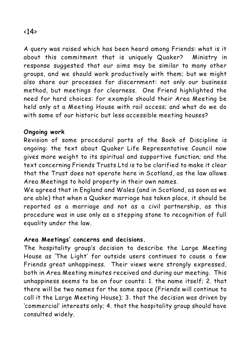A query was raised which has been heard among Friends: what is it about this commitment that is uniquely Quaker? Ministry in response suggested that our aims may be similar to many other groups, and we should work productively with them; but we might also share our processes for discernment: not only our business method, but meetings for clearness. One Friend highlighted the need for hard choices: for example should their Area Meeting be held only at a Meeting House with rail access; and what do we do with some of our historic but less accessible meeting houses?

#### **Ongoing work**

Revision of some procedural parts of the Book of Discipline is ongoing: the text about Quaker Life Representative Council now gives more weight to its spiritual and supportive function; and the text concerning Friends Trusts Ltd is to be clarified to make it clear that the Trust does not operate here in Scotland, as the law allows Area Meetings to hold property in their own names.

We agreed that in England and Wales (and in Scotland, as soon as we are able) that when a Quaker marriage has taken place, it should be reported as a marriage and not as a civil partnership, as this procedure was in use only as a stepping stone to recognition of full equality under the law.

#### **Area Meetings' concerns and decisions.**

The hospitality group's decision to describe the Large Meeting House as 'The Light' for outside users continues to cause a few Friends great unhappiness. Their views were strongly expressed, both in Area Meeting minutes received and during our meeting. This unhappiness seems to be on four counts: 1. the name itself; 2. that there will be two names for the same space (Friends will continue to call it the Large Meeting House); 3. that the decision was driven by 'commercial' interests only; 4. that the hospitality group should have consulted widely.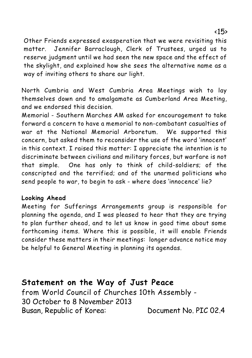Other Friends expressed exasperation that we were revisiting this matter. Jennifer Barraclough, Clerk of Trustees, urged us to reserve judgment until we had seen the new space and the effect of the skylight, and explained how she sees the alternative name as a way of inviting others to share our light.

North Cumbria and West Cumbria Area Meetings wish to lay themselves down and to amalgamate as Cumberland Area Meeting, and we endorsed this decision.

Memorial - Southern Marches AM asked for encouragement to take forward a concern to have a memorial to non-combatant casualties of war at the National Memorial Arboretum. We supported this concern, but asked them to reconsider the use of the word 'innocent' in this context. I raised this matter: I appreciate the intention is to discriminate between civilians and military forces, but warfare is not that simple. One has only to think of child-soldiers; of the conscripted and the terrified; and of the unarmed politicians who send people to war, to begin to ask - where does 'innocence' lie?

#### **Looking Ahead**

Meeting for Sufferings Arrangements group is responsible for planning the agenda, and I was pleased to hear that they are trying to plan further ahead, and to let us know in good time about some forthcoming items. Where this is possible, it will enable Friends consider these matters in their meetings: longer advance notice may be helpful to General Meeting in planning its agendas.

# **Statement on the Way of Just Peace**

from World Council of Churches 10th Assembly - 30 October to 8 November 2013 Busan, Republic of Korea: Document No. PIC 02.4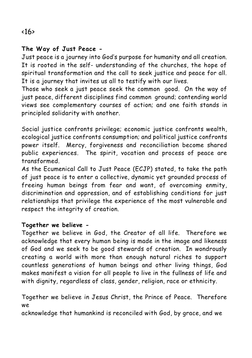#### **The Way of Just Peace -**

Just peace is a journey into God's purpose for humanity and all creation. It is rooted in the self- understanding of the churches, the hope of spiritual transformation and the call to seek justice and peace for all. It is a journey that invites us all to testify with our lives.

Those who seek a just peace seek the common good. On the way of just peace, different disciplines find common ground; contending world views see complementary courses of action; and one faith stands in principled solidarity with another.

Social justice confronts privilege; economic justice confronts wealth, ecological justice confronts consumption; and political justice confronts power itself. Mercy, forgiveness and reconciliation become shared public experiences. The spirit, vocation and process of peace are transformed.

As the Ecumenical Call to Just Peace (ECJP) stated, to take the path of just peace is to enter a collective, dynamic yet grounded process of freeing human beings from fear and want, of overcoming enmity, discrimination and oppression, and of establishing conditions for just relationships that privilege the experience of the most vulnerable and respect the integrity of creation.

#### **Together we believe -**

Together we believe in God, the Creator of all life. Therefore we acknowledge that every human being is made in the image and likeness of God and we seek to be good stewards of creation. In wondrously creating a world with more than enough natural riches to support countless generations of human beings and other living things, God makes manifest a vision for all people to live in the fullness of life and with dignity, regardless of class, gender, religion, race or ethnicity.

Together we believe in Jesus Christ, the Prince of Peace. Therefore we

acknowledge that humankind is reconciled with God, by grace, and we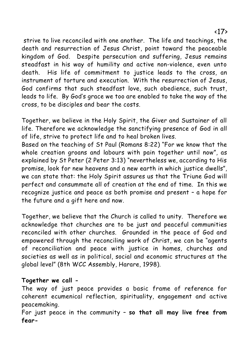strive to live reconciled with one another. The life and teachings, the death and resurrection of Jesus Christ, point toward the peaceable kingdom of God. Despite persecution and suffering, Jesus remains steadfast in his way of humility and active non-violence, even unto death. His life of commitment to justice leads to the cross, an instrument of torture and execution. With the resurrection of Jesus, God confirms that such steadfast love, such obedience, such trust, leads to life. By God's grace we too are enabled to take the way of the cross, to be disciples and bear the costs.

Together, we believe in the Holy Spirit, the Giver and Sustainer of all life. Therefore we acknowledge the sanctifying presence of God in all of life, strive to protect life and to heal broken lives.

Based on the teaching of St Paul (Romans 8:22) "For we know that the whole creation groans and labours with pain together until now", as explained by St Peter (2 Peter 3:13) "nevertheless we, according to His promise, look for new heavens and a new earth in which justice dwells", we can state that: the Holy Spirit assures us that the Triune God will perfect and consummate all of creation at the end of time. In this we recognize justice and peace as both promise and present – a hope for the future and a gift here and now.

Together, we believe that the Church is called to unity. Therefore we acknowledge that churches are to be just and peaceful communities reconciled with other churches. Grounded in the peace of God and empowered through the reconciling work of Christ, we can be "agents of reconciliation and peace with justice in homes, churches and societies as well as in political, social and economic structures at the global level" (8th WCC Assembly, Harare, 1998).

#### **Together we call -**

The way of just peace provides a basic frame of reference for coherent ecumenical reflection, spirituality, engagement and active peacemaking.

For just peace in the community – **so that all may live free from fear-**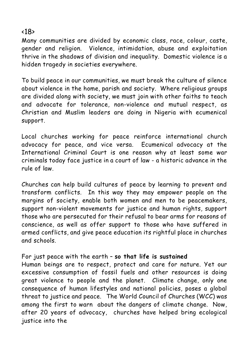#### $\langle$ 18 $\rangle$

Many communities are divided by economic class, race, colour, caste, gender and religion. Violence, intimidation, abuse and exploitation thrive in the shadows of division and inequality. Domestic violence is a hidden tragedy in societies everywhere.

To build peace in our communities, we must break the culture of silence about violence in the home, parish and society. Where religious groups are divided along with society, we must join with other faiths to teach and advocate for tolerance, non-violence and mutual respect, as Christian and Muslim leaders are doing in Nigeria with ecumenical support.

Local churches working for peace reinforce international church advocacy for peace, and vice versa. Ecumenical advocacy at the International Criminal Court is one reason why at least some war criminals today face justice in a court of law - a historic advance in the rule of law.

Churches can help build cultures of peace by learning to prevent and transform conflicts. In this way they may empower people on the margins of society, enable both women and men to be peacemakers, support non-violent movements for justice and human rights, support those who are persecuted for their refusal to bear arms for reasons of conscience, as well as offer support to those who have suffered in armed conflicts, and give peace education its rightful place in churches and schools.

#### For just peace with the earth – **so that life is sustained**

Human beings are to respect, protect and care for nature. Yet our excessive consumption of fossil fuels and other resources is doing great violence to people and the planet. Climate change, only one consequence of human lifestyles and national policies, poses a global threat to justice and peace. The World Council of Churches (WCC) was among the first to warn about the dangers of climate change. Now, after 20 years of advocacy, churches have helped bring ecological justice into the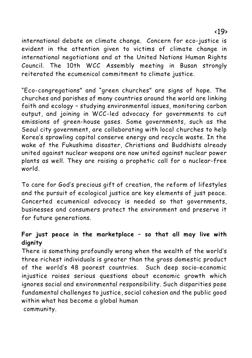international debate on climate change. Concern for eco-justice is

evident in the attention given to victims of climate change in international negotiations and at the United Nations Human Rights Council. The 10th WCC Assembly meeting in Busan strongly reiterated the ecumenical commitment to climate justice.

"Eco-congregations" and "green churches" are signs of hope. The churches and parishes of many countries around the world are linking faith and ecology – studying environmental issues, monitoring carbon output, and joining in WCC-led advocacy for governments to cut emissions of green-house gases. Some governments, such as the Seoul city government, are collaborating with local churches to help Korea's sprawling capital conserve energy and recycle waste. In the wake of the Fukushima disaster, Christians and Buddhists already united against nuclear weapons are now united against nuclear power plants as well. They are raising a prophetic call for a nuclear-free world.

To care for God's precious gift of creation, the reform of lifestyles and the pursuit of ecological justice are key elements of just peace. Concerted ecumenical advocacy is needed so that governments, businesses and consumers protect the environment and preserve it for future generations.

#### **For just peace in the marketplace – so that all may live with dignity**

There is something profoundly wrong when the wealth of the world's three richest individuals is greater than the gross domestic product of the world's 48 poorest countries. Such deep socio-economic injustice raises serious questions about economic growth which ignores social and environmental responsibility. Such disparities pose fundamental challenges to justice, social cohesion and the public good within what has become a global human community.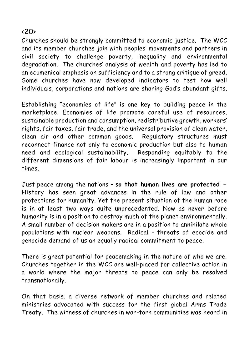#### $\langle 20 \rangle$

Churches should be strongly committed to economic justice. The WCC and its member churches join with peoples' movements and partners in civil society to challenge poverty, inequality and environmental degradation. The churches' analysis of wealth and poverty has led to an ecumenical emphasis on sufficiency and to a strong critique of greed. Some churches have now developed indicators to test how well individuals, corporations and nations are sharing God's abundant gifts.

Establishing "economies of life" is one key to building peace in the marketplace. Economies of life promote careful use of resources, sustainable production and consumption, redistributive growth, workers' rights, fair taxes, fair trade, and the universal provision of clean water, clean air and other common goods. Regulatory structures must reconnect finance not only to economic production but also to human need and ecological sustainability. Responding equitably to the different dimensions of fair labour is increasingly important in our times.

Just peace among the nations – **so that human lives are protected -** History has seen great advances in the rule of law and other protections for humanity. Yet the present situation of the human race is in at least two ways quite unprecedented. Now as never before humanity is in a position to destroy much of the planet environmentally. A small number of decision makers are in a position to annihilate whole populations with nuclear weapons. Radical - threats of ecocide and genocide demand of us an equally radical commitment to peace.

There is great potential for peacemaking in the nature of who we are. Churches together in the WCC are well-placed for collective action in a world where the major threats to peace can only be resolved transnationally.

On that basis, a diverse network of member churches and related ministries advocated with success for the first global Arms Trade Treaty. The witness of churches in war-torn communities was heard in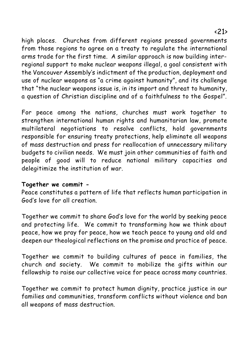high places. Churches from different regions pressed governments from those regions to garee on a treaty to regulate the international arms trade for the first time. A similar approach is now building interregional support to make nuclear weapons illegal, a goal consistent with the Vancouver Assembly's indictment of the production, deployment and use of nuclear weapons as "a crime against humanity", and its challenge that "the nuclear weapons issue is, in its import and threat to humanity, a question of Christian discipline and of a faithfulness to the Gospel".

For peace among the nations, churches must work together to strengthen international human rights and humanitarian law, promote multilateral negotiations to resolve conflicts, hold governments responsible for ensuring treaty protections, help eliminate all weapons of mass destruction and press for reallocation of unnecessary military budgets to civilian needs. We must join other communities of faith and people of good will to reduce national military capacities and delegitimize the institution of war.

#### **Together we commit -**

Peace constitutes a pattern of life that reflects human participation in God's love for all creation.

Together we commit to share God's love for the world by seeking peace and protecting life. We commit to transforming how we think about peace, how we pray for peace, how we teach peace to young and old and deepen our theological reflections on the promise and practice of peace.

Together we commit to building cultures of peace in families, the church and society. We commit to mobilize the gifts within our fellowship to raise our collective voice for peace across many countries.

Together we commit to protect human dignity, practice justice in our families and communities, transform conflicts without violence and ban all weapons of mass destruction.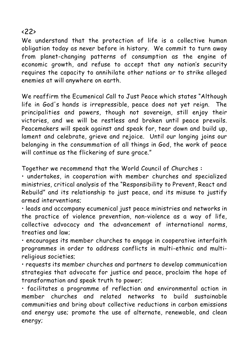#### $\langle 22 \rangle$

We understand that the protection of life is a collective human obligation today as never before in history. We commit to turn away from planet-changing patterns of consumption as the engine of economic growth, and refuse to accept that any nation's security requires the capacity to annihilate other nations or to strike alleged enemies at will anywhere on earth.

We reaffirm the Ecumenical Call to Just Peace which states "Although life in God's hands is irrepressible, peace does not yet reign. The principalities and powers, though not sovereign, still enjoy their victories, and we will be restless and broken until peace prevails. Peacemakers will speak against and speak for, tear down and build up, lament and celebrate, grieve and rejoice. Until our longing joins our belonging in the consummation of all things in God, the work of peace will continue as the flickering of sure grace."

Together we recommend that the World Council of Churches **:**

• undertakes, in cooperation with member churches and specialized ministries, critical analysis of the "Responsibility to Prevent, React and Rebuild" and its relationship to just peace, and its misuse to justify armed interventions;

• leads and accompany ecumenical just peace ministries and networks in the practice of violence prevention, non-violence as a way of life, collective advocacy and the advancement of international norms, treaties and law;

• encourages its member churches to engage in cooperative interfaith programmes in order to address conflicts in multi-ethnic and multireligious societies;

• requests its member churches and partners to develop communication strategies that advocate for justice and peace, proclaim the hope of transformation and speak truth to power;

• facilitates a programme of reflection and environmental action in member churches and related networks to build sustainable communities and bring about collective reductions in carbon emissions and energy use; promote the use of alternate, renewable, and clean energy;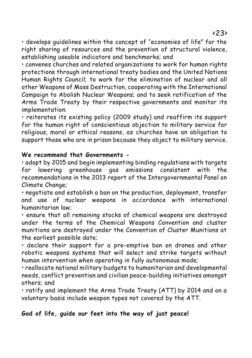• develops guidelines within the concept of "economies of life" for the right sharing of resources and the prevention of structural violence, establishing useable indicators and benchmarks; and

• convenes churches and related organizations to work for human rights protections through international treaty bodies and the United Nations Human Rights Council; to work for the elimination of nuclear and all other Weapons of Mass Destruction, cooperating with the International Campaign to Abolish Nuclear Weapons; and to seek ratification of the Arms Trade Treaty by their respective governments and monitor its implementation.

• reiterates its existing policy (2009 study) and reaffirm its support for the human right of conscientious objection to military service for religious, moral or ethical reasons, as churches have an obligation to support those who are in prison because they object to military service.

#### **We recommend that Governments -**

• adopt by 2015 and begin implementing binding regulations with targets for lowering greenhouse gas emissions consistent with the recommendations in the 2013 report of the Intergovernmental Panel on Climate Change;

• negotiate and establish a ban on the production, deployment, transfer and use of nuclear weapons in accordance with international humanitarian law;

• ensure that all remaining stocks of chemical weapons are destroyed under the terms of the Chemical Weapons Convention and cluster munitions are destroyed under the Convention of Cluster Munitions at the earliest possible date;

• declare their support for a pre-emptive ban on drones and other robotic weapons systems that will select and strike targets without human intervention when operating in fully autonomous mode;

• reallocate national military budgets to humanitarian and developmental needs, conflict prevention and civilian peace-building initiatives amongst others; and

• ratify and implement the Arms Trade Treaty (ATT) by 2014 and on a voluntary basis include weapon types not covered by the ATT.

#### **God of life, guide our feet into the way of just peace!**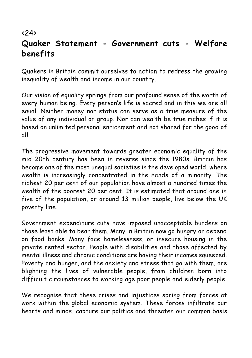# $\langle 24 \rangle$ **Quaker Statement - Government cuts - Welfare benefits**

Quakers in Britain commit ourselves to action to redress the growing inequality of wealth and income in our country.

Our vision of equality springs from our profound sense of the worth of every human being. Every person's life is sacred and in this we are all equal. Neither money nor status can serve as a true measure of the value of any individual or group. Nor can wealth be true riches if it is based on unlimited personal enrichment and not shared for the good of all.

The progressive movement towards greater economic equality of the mid 20th century has been in reverse since the 1980s. Britain has become one of the most unequal societies in the developed world, where wealth is increasingly concentrated in the hands of a minority. The richest 20 per cent of our population have almost a hundred times the wealth of the poorest 20 per cent. It is estimated that around one in five of the population, or around 13 million people, live below the UK poverty line.

Government expenditure cuts have imposed unacceptable burdens on those least able to bear them. Many in Britain now go hungry or depend on food banks. Many face homelessness, or insecure housing in the private rented sector. People with disabilities and those affected by mental illness and chronic conditions are having their incomes squeezed. Poverty and hunger, and the anxiety and stress that go with them, are blighting the lives of vulnerable people, from children born into difficult circumstances to working age poor people and elderly people.

We recognise that these crises and injustices spring from forces at work within the global economic system. These forces infiltrate our hearts and minds, capture our politics and threaten our common basis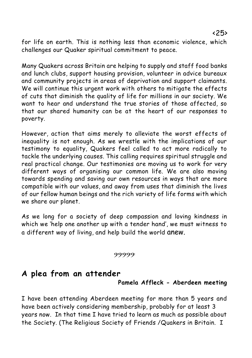for life on earth. This is nothing less than economic violence, which challenges our Quaker spiritual commitment to peace.

Many Quakers across Britain are helping to supply and staff food banks and lunch clubs, support housing provision, volunteer in advice bureaux and community projects in areas of deprivation and support claimants. We will continue this urgent work with others to mitigate the effects of cuts that diminish the quality of life for millions in our society. We want to hear and understand the true stories of those affected, so that our shared humanity can be at the heart of our responses to poverty.

However, action that aims merely to alleviate the worst effects of inequality is not enough. As we wrestle with the implications of our testimony to equality, Quakers feel called to act more radically to tackle the underlying causes. This calling requires spiritual struggle and real practical change. Our testimonies are moving us to work for very different ways of organising our common life. We are also moving towards spending and saving our own resources in ways that are more compatible with our values, and away from uses that diminish the lives of our fellow human beings and the rich variety of life forms with which we share our planet.

As we long for a society of deep compassion and loving kindness in which we 'help one another up with a tender hand', we must witness to a different way of living, and help build the world anew.

#### و:9:9:9:9:

# **A plea from an attender**

**Pamela Affleck - Aberdeen meeting**

I have been attending Aberdeen meeting for more than 5 years and have been actively considering membership, probably for at least 3 years now. In that time I have tried to learn as much as possible about the Society. (The Religious Society of Friends /Quakers in Britain. I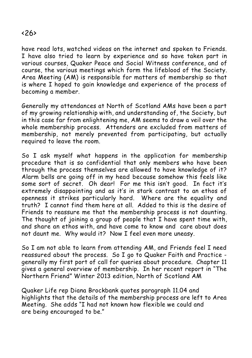#### $\langle 26 \rangle$

have read lots, watched videos on the internet and spoken to Friends. I have also tried to learn by experience and so have taken part in various courses, Quaker Peace and Social Witness conference, and of course, the various meetings which form the lifeblood of the Society. Area Meeting (AM) is responsible for matters of membership so that is where I hoped to gain knowledge and experience of the process of becoming a member.

Generally my attendances at North of Scotland AMs have been a part of my growing relationship with, and understanding of, the Society, but in this case far from enlightening me, AM seems to draw a veil over the whole membership process. Attenders are excluded from matters of membership, not merely prevented from participating, but actually required to leave the room.

So I ask myself what happens in the application for membership procedure that is so confidential that only members who have been through the process themselves are allowed to have knowledge of it? Alarm bells are going off in my head because somehow this feels like some sort of secret. Oh dear! For me this isn't good. In fact it's extremely disappointing and as it's in stark contrast to an ethos of openness it strikes particularly hard. Where are the equality and truth? I cannot find them here at all. Added to this is the desire of Friends to reassure me that the membership process is not daunting. The thought of joining a group of people that I have spent time with, and share an ethos with, and have come to know and care about does not daunt me. Why would it? Now I feel even more uneasy.

So I am not able to learn from attending AM, and Friends feel I need reassured about the process. So I go to Quaker Faith and Practice generally my first port of call for queries about procedure. Chapter 11 gives a general overview of membership. In her recent report in "The Northern Friend" Winter 2013 edition, North of Scotland AM

Quaker Life rep Diana Brockbank quotes paragraph 11.04 and highlights that the details of the membership process are left to Area Meeting. She adds "I had not known how flexible we could and are being encouraged to be."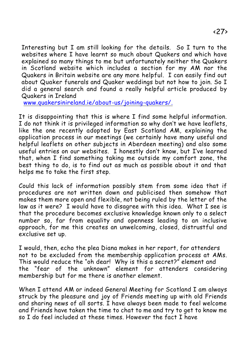Interesting but I am still looking for the details. So I turn to the websites where I have learnt so much about Quakers and which have explained so many things to me but unfortunately neither the Quakers in Scotland website which includes a section for my AM nor the Quakers in Britain website are any more helpful. I can easily find out about Quaker funerals and Quaker weddings but not how to join. So I did a general search and found a really helpful article produced by Quakers in Ireland

[www.quakersinireland.ie/about-us/joining-quakers/.](http://www.quakersinireland.ie/about-us/joining-quakers/.)

It is disappointing that this is where I find some helpful information. I do not think it is privileged information so why don't we have leaflets, like the one recently adopted by East Scotland AM, explaining the application process in our meetings (we certainly have many useful and helpful leaflets on other subjects in Aberdeen meeting) and also some useful entries on our websites. I honestly don't know, but I've learned that, when I find something taking me outside my comfort zone, the best thing to do, is to find out as much as possible about it and that helps me to take the first step.

Could this lack of information possibly stem from some idea that if procedures are not written down and publicised then somehow that makes them more open and flexible, not being ruled by the letter of the law as it were? I would have to disagree with this idea. What I see is that the procedure becomes exclusive knowledge known only to a select number so, far from equality and openness leading to an inclusive approach, for me this creates an unwelcoming, closed, distrustful and exclusive set up.

I would, then, echo the plea Diana makes in her report, for attenders not to be excluded from the membership application process at AMs. This would reduce the "oh dear! Why is this a secret?" element and the "fear of the unknown" element for attenders considering membership but for me there is another element.

When I attend AM or indeed General Meeting for Scotland I am always struck by the pleasure and joy of Friends meeting up with old Friends and sharing news of all sorts. I have always been made to feel welcome and Friends have taken the time to chat to me and try to get to know me so I do feel included at these times. However the fact I have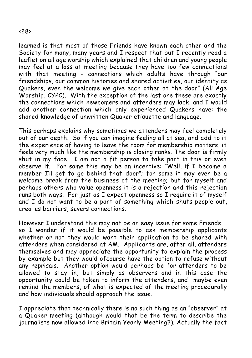learned is that most of those Friends have known each other and the Society for many, many years and I respect that but I recently read a leaflet on all age worship which explained that children and young people may feel at a loss at meeting because they have too few connections with that meeting - connections which adults have through "our friendships, our common histories and shared activities, our identity as Quakers, even the welcome we give each other at the door" (All Age Worship, CYPC). With the exception of the last one these are exactly the connections which newcomers and attenders may lack, and I would add another connection which only experienced Quakers have: the shared knowledge of unwritten Quaker etiquette and language.

This perhaps explains why sometimes we attenders may feel completely out of our depth. So if you can imagine feeling all at sea, and add to it the experience of having to leave the room for membership matters, it feels very much like the membership is closing ranks. The door is firmly shut in my face. I am not a fit person to take part in this or even observe it. For some this may be an incentive: "Well, if I become a member I'll get to go behind that door"; for some it may even be a welcome break from the business of the meeting; but for myself and perhaps others who value openness it is a rejection and this rejection runs both ways. For just as I expect openness so I require it of myself and I do not want to be a part of something which shuts people out, creates barriers, severs connections.

However I understand this may not be an easy issue for some Friends so I wonder if it would be possible to ask membership applicants whether or not they would want their application to be shared with attenders when considered at AM. Applicants are, after all, attenders themselves and may appreciate the opportunity to explain the process by example but they would ofcourse have the option to refuse without any reprisals. Another option would perhaps be for attenders to be allowed to stay in, but simply as observers and in this case the opportunity could be taken to inform the attenders, and maybe even remind the members, of what is expected of the meeting procedurally and how individuals should approach the issue.

I appreciate that technically there is no such thing as an "observer" at a Quaker meeting (although would that be the term to describe the journalists now allowed into Britain Yearly Meeting?). Actually the fact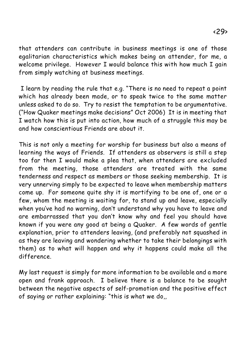that attenders can contribute in business meetings is one of those egalitarian characteristics which makes being an attender, for me, a welcome privilege. However I would balance this with how much I gain from simply watching at business meetings.

 I learn by reading the rule that e.g. "There is no need to repeat a point which has already been made, or to speak twice to the same matter unless asked to do so. Try to resist the temptation to be argumentative. ("*How Quaker meetings make decisions" Oct 2006*) It is in meeting that I watch how this is put into action, how much of a struggle this may be and how conscientious Friends are about it.

This is not only a meeting for worship for business but also a means of learning the ways of Friends. If attenders as observers is still a step too far then I would make a plea that, when attenders are excluded from the meeting, those attenders are treated with the same tenderness and respect as members or those seeking membership. It is very unnerving simply to be expected to leave when membership matters come up. For someone quite shy it is mortifying to be one of, one or a few, whom the meeting is waiting for, to stand up and leave, especially when you've had no warning, don't understand why you have to leave and are embarrassed that you don't know why and feel you should have known if you were any good at being a Quaker. A few words of gentle explanation, prior to attenders leaving, (and preferably not squashed in as they are leaving and wondering whether to take their belongings with them) as to what will happen and why it happens could make all the difference.

My last request is simply for more information to be available and a more open and frank approach. I believe there is a balance to be sought between the negative aspects of self-promotion and the positive effect of saying or rather explaining: "this is what we do,,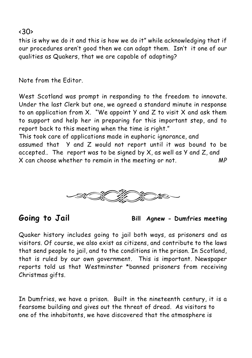#### $\langle 30 \rangle$

this is why we do it and this is how we do it" while acknowledging that if our procedures aren't good then we can adapt them. Isn't it one of our qualities as Quakers, that we are capable of adapting?

*Note from the Editor.*

*West Scotland was prompt in responding to the freedom to innovate. Under the last Clerk but one, we agreed a standard minute in response to an application from X. "We appoint Y and Z to visit X and ask them to support and help her in preparing for this important step, and to report back to this meeting when the time is right."*

*This took care of applications made in euphoric ignorance, and assumed that Y and Z would not report until it was bound to be accepted.. The report was to be signed by X, as well as Y and Z, and X can choose whether to remain in the meeting or not. MP*





Quaker history includes going to jail both ways, as prisoners and as visitors. Of course, we also exist as citizens, and contribute to the laws that send people to jail, and to the conditions in the prison. In Scotland, that is ruled by our own government. This is important. Newspaper reports told us that Westminster \*banned prisoners from receiving Christmas gifts.

In Dumfries, we have a prison. Built in the nineteenth century, it is a fearsome building and gives out the threat of dread. As visitors to one of the inhabitants, we have discovered that the atmosphere is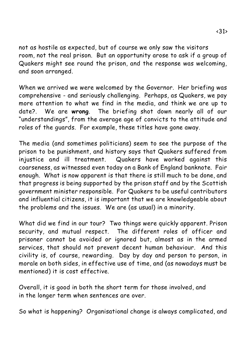not as hostile as expected, but of course we only saw the visitors room, not the real prison. But an opportunity arose to ask if a group of Quakers might see round the prison, and the response was welcoming, and soon arranged.

When we arrived we were welcomed by the Governor. Her briefing was comprehensive - and seriously challenging. Perhaps, as Quakers, we pay more attention to what we find in the media, and think we are up to date?. We are **wrong**. The briefing shot down nearly all of our "understandings", from the average age of *convicts* to the attitude and roles of the *guards*. For example, these *titles* have gone away.

The media (and sometimes politicians) seem to see the purpose of the prison to be punishment, and history says that Quakers suffered from injustice and ill treatment. Quakers have worked against this coarseness, as witnessed even today on a Bank of England banknote. Fair enough. What is now apparent is that there is still much to be done, and that progress is being supported by the prison staff and by the Scottish government minister responsible. For Quakers to be useful contributors and influential citizens, it is important that we are knowledgeable about the problems and the issues. We are (as usual) in a minority.

What did we find in our tour? Two things were quickly apparent. Prison security, and mutual respect. The different roles of officer and prisoner cannot be avoided or ignored but, almost as in the armed services, that should not prevent decent human behaviour. And this civility is, of course, rewarding. Day by day and person to person, in morale on both sides, in effective use of time, and (as nowadays must be mentioned) it is cost effective.

Overall, it is good in both the short term for those involved, and in the longer term when sentences are over.

So what is happening? Organisational change is always complicated, and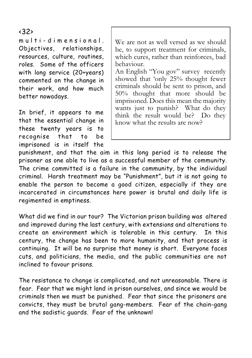#### <32>

multi-dimensional. Objectives, relationships, resources, culture, routines, roles. Some of the officers with long service (20+years) commented on the change in their work, and how much better nowadays.

In brief, it appears to me that the essential change in these twenty years is to recognise that to be imprisoned is in itself the

We are not as well versed as we should be, to support treatment for criminals, which cures, rather than reinforces, bad behaviour.

An English "You gov" survey recently showed that 'only 25% thought fewer criminals should be sent to prison, and 50% thought that more should be imprisoned. Does this mean the majority wants just to punish? What do they think the result would be? Do they know what the results are now?

punishment, and that the aim in this long period is to release the prisoner as one able to live as a successful member of the community. The crime committed is a failure in the community, by the individual criminal. Harsh treatment may be "Punishment", but it is not going to enable the person to become a good citizen, especially if they are incarcerated in circumstances here power is brutal and daily life is regimented in emptiness.

What did we find in our tour? The Victorian prison building was altered and improved during the last century, with extensions and alterations to create an environment which is tolerable in this century. In this century, the change has been to more humanity, and that process is continuing. It will be no surprise that money is short. Everyone faces cuts, and politicians, the media, and the public communities are not inclined to favour prisons.

The resistance to change is complicated, and not unreasonable. There is fear. Fear that we might land in prison ourselves, and since we would be criminals then we must be punished. Fear that since the prisoners are convicts, they must be brutal gang-members. Fear of the chain-gang and the sadistic guards. Fear of the unknown!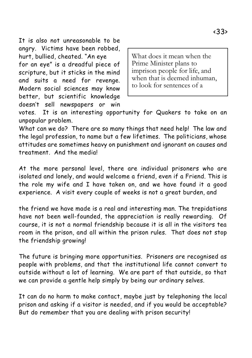It is also not unreasonable to be angry. Victims have been robbed, hurt, bullied, cheated. "An eye for an eye" is a dreadful piece of scripture, but it sticks in the mind and suits a need for revenge. Modern social sciences may know better, but scientific knowledge doesn't sell newspapers or win

What does it mean when the Prime Minister plans to imprison people for life, and when that is deemed inhuman, to look for sentences of a

votes. It is an interesting opportunity for Quakers to take on an unpopular problem.

What can we do? There are so many things that need help! The law and the legal profession, to name but a few lifetimes. The politicians, whose attitudes are sometimes heavy on punishment and ignorant on causes and treatment. And the media!

At the more personal level, there are individual prisoners who are isolated and lonely, and would welcome a friend, even if a Friend. This is the role my wife and I have taken on, and we have found it a good experience. A visit every couple of weeks is not a great burden, and

the friend we have made is a real and interesting man. The trepidations have not been well-founded, the appreciation is really rewarding. Of course, it is not a normal friendship because it is all in the visitors tea room in the prison, and all within the prison rules. That does not stop the friendship growing!

The future is bringing more opportunities. Prisoners are recognised as people with problems, and that the institutional life cannot convert to outside without a lot of learning. We are part of that outside, so that we can provide a gentle help simply by being our ordinary selves.

It can do no harm to make contact, maybe just by telephoning the local prison and asking if a visitor is needed, and if you would be acceptable? But do remember that you are dealing with prison security!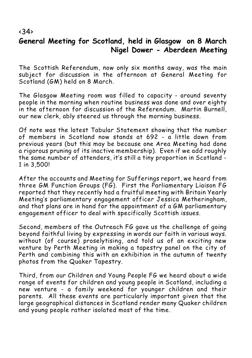# **General Meeting for Scotland, held in Glasgow on 8 March Nigel Dower - Aberdeen Meeting**

The Scottish Referendum, now only six months away, was the main subject for discussion in the afternoon at General Meeting for Scotland (GM) held on 8 March.

The Glasgow Meeting room was filled to capacity - around seventy people in the morning when routine business was done and over eighty in the afternoon for discussion of the Referendum. Martin Burnell, our new clerk, ably steered us through the morning business.

Of note was the latest Tabular Statement showing that the number of members in Scotland now stands at 692 - a little down from previous years (but this may be because one Area Meeting had done a rigorous pruning of its inactive membership). Even if we add roughly the same number of attenders, it's still a tiny proportion in Scotland - 1 in 3,500!

After the accounts and Meeting for Sufferings report, we heard from three GM Function Groups (FG). First the Parliamentary Liaison FG reported that they recently had a fruitful meeting with Britain Yearly Meeting's parliamentary engagement officer Jessica Metheringham, and that plans are in hand for the appointment of a GM parliamentary engagement officer to deal with specifically Scottish issues.

Second, members of the Outreach FG gave us the challenge of going beyond faithful living by expressing in words our faith in various ways. without (of course) proselytising, and told us of an exciting new venture by Perth Meeting in making a tapestry panel on the city of Perth and combining this with an exhibition in the autumn of twenty photos from the Quaker Tapestry.

Third, from our Children and Young People FG we heard about a wide range of events for children and young people in Scotland, including a new venture - a family weekend for younger children and their parents. All these events are particularly important given that the large geographical distances in Scotland render many Quaker children and young people rather isolated most of the time.

#### $\langle 34 \rangle$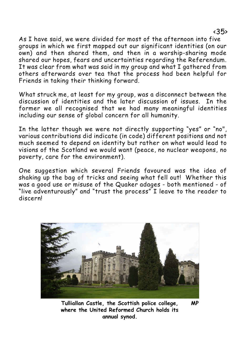As I have said, we were divided for most of the afternoon into five groups in which we first mapped out our significant identities (on our own) and then shared them, and then in a worship-sharing mode shared our hopes, fears and uncertainties regarding the Referendum. It was clear from what was said in my group and what I gathered from others afterwards over tea that the process had been helpful for Friends in taking their thinking forward.

What struck me, at least for my group, was a disconnect between the discussion of identities and the later discussion of issues. In the former we all recognised that we had many meaningful identities including our sense of global concern for all humanity.

In the latter though we were not directly supporting "yes" or "no", various contributions did indicate (in code) different positions and not much seemed to depend on identity but rather on what would lead to visions of the Scotland we would want (peace, no nuclear weapons, no poverty, care for the environment).

One suggestion which several Friends favoured was the idea of shaking up the bag of tricks and seeing what fell out! Whether this was a good use or misuse of the Quaker adages - both mentioned - of "live adventurously" and "trust the process" I leave to the reader to discern!



**Tulliallan Castle, the Scottish police college, MP where the United Reformed Church holds its annual synod.**

<35>